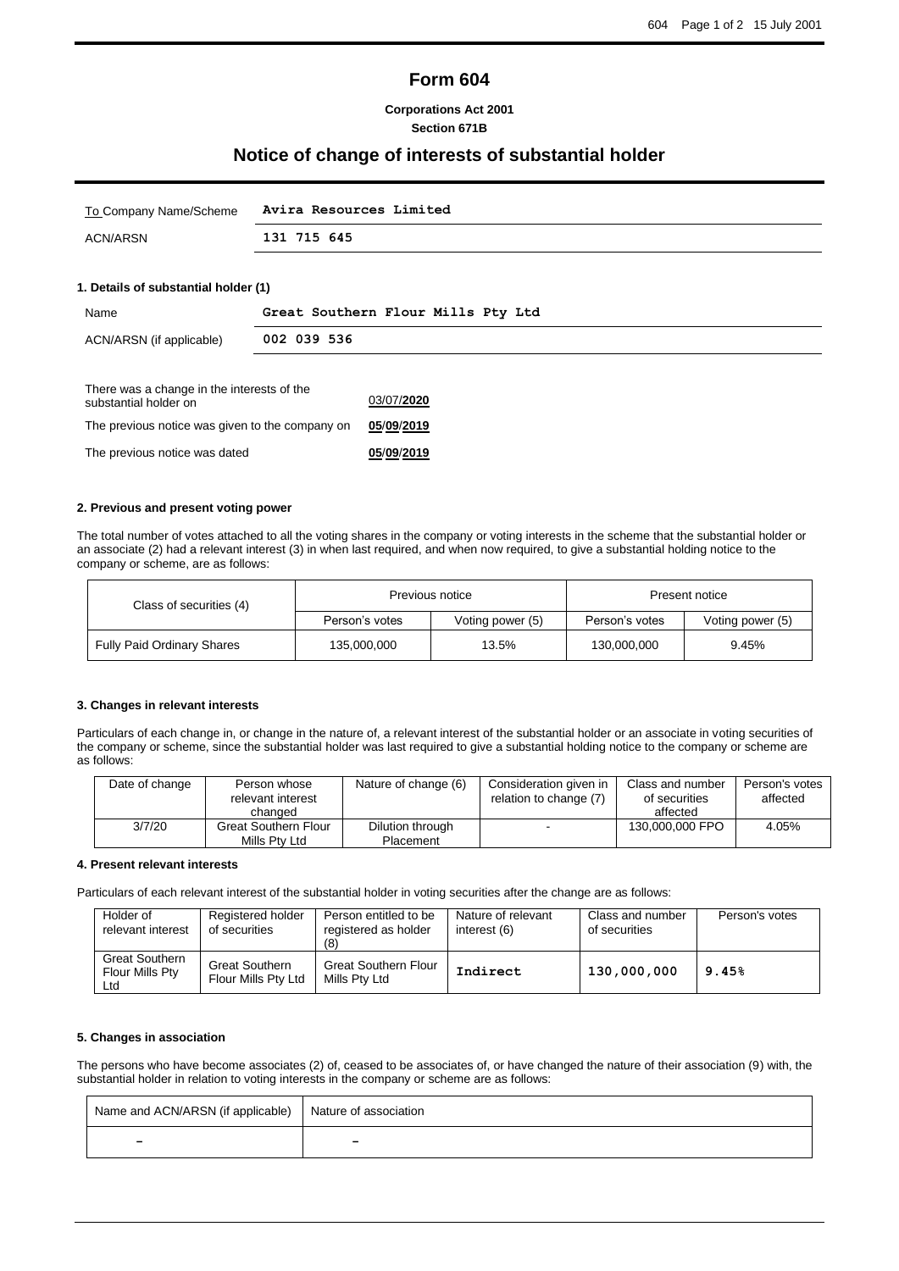# **Form 604**

### **Corporations Act 2001 Section 671B**

# **Notice of change of interests of substantial holder**

|          | To Company Name/Scheme Avira Resources Limited |
|----------|------------------------------------------------|
| ACN/ARSN | 131 715 645                                    |

## **1. Details of substantial holder (1)**

| Name                                                                | Great Southern Flour Mills Pty Ltd |            |  |
|---------------------------------------------------------------------|------------------------------------|------------|--|
| ACN/ARSN (if applicable)                                            | 002 039 536                        |            |  |
| There was a change in the interests of the<br>substantial holder on |                                    | 03/07/2020 |  |
| The previous notice was given to the company on                     |                                    | 05/09/2019 |  |
| The previous notice was dated                                       |                                    | 05/09/2019 |  |

#### **2. Previous and present voting power**

The total number of votes attached to all the voting shares in the company or voting interests in the scheme that the substantial holder or an associate (2) had a relevant interest (3) in when last required, and when now required, to give a substantial holding notice to the company or scheme, are as follows:

| Class of securities (4)           | Previous notice |                  | Present notice |                  |
|-----------------------------------|-----------------|------------------|----------------|------------------|
|                                   | Person's votes  | Voting power (5) | Person's votes | Voting power (5) |
| <b>Fully Paid Ordinary Shares</b> | 135,000,000     | 13.5%            | 130,000,000    | 9.45%            |

#### **3. Changes in relevant interests**

Particulars of each change in, or change in the nature of, a relevant interest of the substantial holder or an associate in voting securities of the company or scheme, since the substantial holder was last required to give a substantial holding notice to the company or scheme are as follows:

| Date of change | Person whose<br>relevant interest<br>changed | Nature of change (6)          | Consideration given in<br>relation to change (7) | Class and number<br>of securities<br>affected | Person's votes<br>affected |
|----------------|----------------------------------------------|-------------------------------|--------------------------------------------------|-----------------------------------------------|----------------------------|
| 3/7/20         | <b>Great Southern Flour</b><br>Mills Ptv Ltd | Dilution through<br>Placement |                                                  | 130,000,000 FPO                               | 4.05%                      |

#### **4. Present relevant interests**

Particulars of each relevant interest of the substantial holder in voting securities after the change are as follows:

| Holder of<br>relevant interest                  | Registered holder<br>of securities           | Person entitled to be<br>registered as holder<br>(8) | Nature of relevant<br>interest (6) | Class and number<br>of securities | Person's votes |
|-------------------------------------------------|----------------------------------------------|------------------------------------------------------|------------------------------------|-----------------------------------|----------------|
| <b>Great Southern</b><br>Flour Mills Pty<br>Ltd | <b>Great Southern</b><br>Flour Mills Pty Ltd | <b>Great Southern Flour</b><br>Mills Ptv Ltd         | Indirect                           | 130,000,000                       | 9.45%          |

#### **5. Changes in association**

The persons who have become associates (2) of, ceased to be associates of, or have changed the nature of their association (9) with, the substantial holder in relation to voting interests in the company or scheme are as follows:

| Name and ACN/ARSN (if applicable)   Nature of association |   |
|-----------------------------------------------------------|---|
| -                                                         | - |